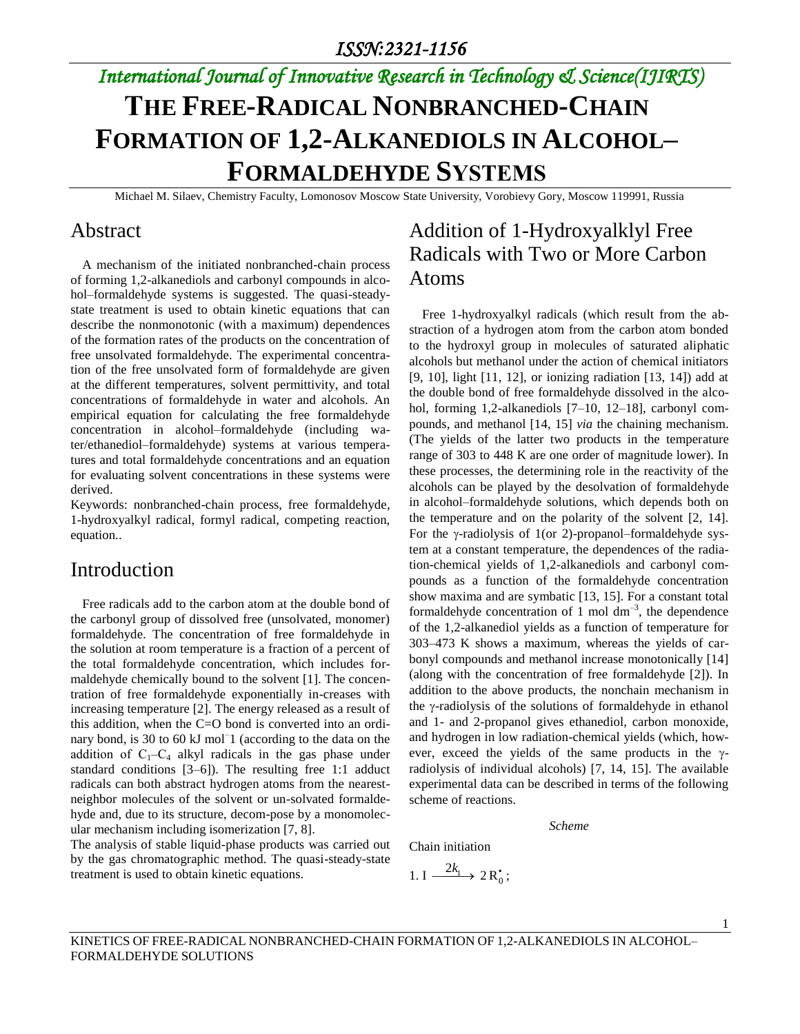# **THE FREE-RADICAL NONBRANCHED-CHAIN FORMATION OF 1,2-ALKANEDIOLS IN ALCOHOL– FORMALDEHYDE SYSTEMS**

Michael M. Silaev, Chemistry Faculty, Lomonosov Moscow State University, Vorobievy Gory, Moscow 119991, Russia

#### Abstract

A mechanism of the initiated nonbranched-chain process of forming 1,2-alkanediols and carbonyl compounds in alcohol–formaldehyde systems is suggested. The quasi-steadystate treatment is used to obtain kinetic equations that can describe the nonmonotonic (with a maximum) dependences of the formation rates of the products on the concentration of free unsolvated formaldehyde. The experimental concentration of the free unsolvated form of formaldehyde are given at the different temperatures, solvent permittivity, and total concentrations of formaldehyde in water and alcohols. An empirical equation for calculating the free formaldehyde concentration in alcohol–formaldehyde (including water/ethanediol–formaldehyde) systems at various temperatures and total formaldehyde concentrations and an equation for evaluating solvent concentrations in these systems were derived.

Keywords: nonbranched-chain process, free formaldehyde, 1-hydroxyalkyl radical, formyl radical, competing reaction, equation..

#### Introduction

 Free radicals add to the carbon atom at the double bond of the carbonyl group of dissolved free (unsolvated, monomer) formaldehyde. The concentration of free formaldehyde in the solution at room temperature is a fraction of a percent of the total formaldehyde concentration, which includes formaldehyde chemically bound to the solvent [1]. The concentration of free formaldehyde exponentially in-creases with increasing temperature [2]. The energy released as a result of this addition, when the C=O bond is converted into an ordinary bond, is 30 to 60 kJ mol<sup>-1</sup> (according to the data on the addition of  $C_1-C_4$  alkyl radicals in the gas phase under standard conditions [3–6]). The resulting free 1:1 adduct radicals can both abstract hydrogen atoms from the nearestneighbor molecules of the solvent or un-solvated formaldehyde and, due to its structure, decom-pose by a monomolecular mechanism including isomerization [7, 8].

The analysis of stable liquid-phase products was carried out by the gas chromatographic method. The quasi-steady-state treatment is used to obtain kinetic equations.

### Addition of 1-Hydroxyalklyl Free Radicals with Two or More Carbon Atoms

Free 1-hydroxyalkyl radicals (which result from the abstraction of a hydrogen atom from the carbon atom bonded to the hydroxyl group in molecules of saturated aliphatic alcohols but methanol under the action of chemical initiators [9, 10], light [11, 12], or ionizing radiation [13, 14]) add at the double bond of free formaldehyde dissolved in the alcohol, forming 1,2-alkanediols [7–10, 12–18], carbonyl compounds, and methanol [14, 15] *via* the chaining mechanism. (The yields of the latter two products in the temperature range of 303 to 448 K are one order of magnitude lower). In these processes, the determining role in the reactivity of the alcohols can be played by the desolvation of formaldehyde in alcohol–formaldehyde solutions, which depends both on the temperature and on the polarity of the solvent [2, 14]. For the  $\gamma$ -radiolysis of 1(or 2)-propanol–formaldehyde system at a constant temperature, the dependences of the radiation-chemical yields of 1,2-alkanediols and carbonyl compounds as a function of the formaldehyde concentration show maxima and are symbatic [13, 15]. For a constant total formaldehyde concentration of 1 mol  $dm^{-3}$ , the dependence of the 1,2-alkanediol yields as a function of temperature for 303–473 K shows a maximum, whereas the yields of carbonyl compounds and methanol increase monotonically [14] (along with the concentration of free formaldehyde [2]). In addition to the above products, the nonchain mechanism in the  $\gamma$ -radiolysis of the solutions of formaldehyde in ethanol and 1- and 2-propanol gives ethanediol, carbon monoxide, and hydrogen in low radiation-chemical yields (which, however, exceed the yields of the same products in the  $\gamma$ radiolysis of individual alcohols) [7, 14, 15]. The available experimental data can be described in terms of the following scheme of reactions.

*Scheme* 

Chain initiation

$$
1.\,\mathrm{I} \xrightarrow{\phantom{a}2k_1} 2\,\mathrm{R}_0^*;
$$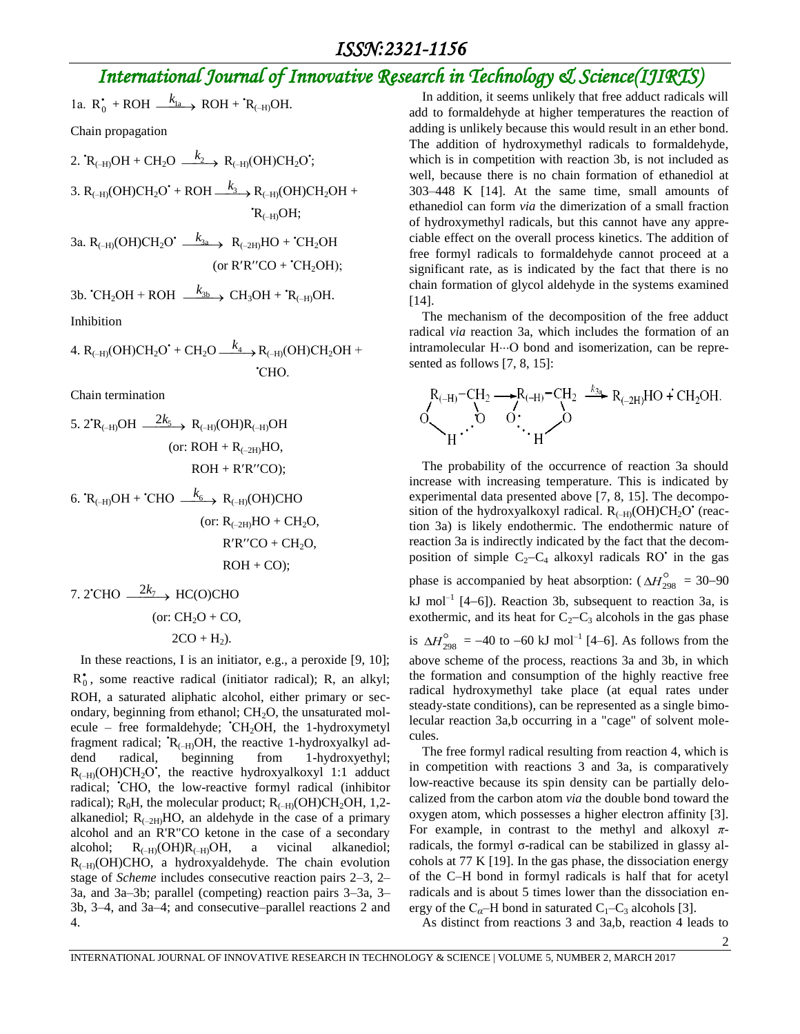$$
1a. R_0^{\bullet} + ROH \xrightarrow{k_{1a}} ROH + {}^{t}R_{(-H)}OH.
$$

Chain propagation

2. 
$$
\mathbb{R}_{(+H)}OH + CH_2O \xrightarrow{k_2} \mathbb{R}_{(+H)}(OH)CH_2O';
$$

3. 
$$
R_{(-H)}(OH)CH_2O' + ROH \xrightarrow{k_3} R_{(-H)}(OH)CH_2OH +
$$
  
 $R_{(-H)}OH;$ 

За.  $R_{(-H)}(OH)CH_2O' \xrightarrow{k_{3a}} R_{(-2H)}HO + 'CH_2OH$ (or  $R'R''CO + 'CH<sub>2</sub>OH);$ 

3b. 'CH<sub>2</sub>OH + ROH 
$$
\xrightarrow{k_{3b}}
$$
 CH<sub>3</sub>OH + 'R<sub>(-H)</sub>OH.

Inhibition

4. 
$$
R_{(-H)}(OH)CH_2O^{\bullet} + CH_2O \xrightarrow{k_4} R_{(-H)}(OH)CH_2OH +
$$
  
'CHO.

Chain termination

5. 2<sup>'R</sup>(-H)OH 
$$
\xrightarrow{2k_5}
$$
 R<sub>(-H)</sub>(OH)R<sub>(-H)</sub>OH  
(or: ROH + R<sub>(-2H)</sub>HO,  
ROH + R'R''<sup>'</sup>CO);

6. 
$$
R_{(-H)}OH + 'CHO \xrightarrow{k_6} R_{(-H)}OH)CHO
$$
 (or:  $R_{(-2H)}HO + CH_2O$ ,  
 
$$
R'R''CO + CH_2O
$$
,  
 
$$
ROH + CO);
$$

7. 2'CHO 
$$
\xrightarrow{2k_7}
$$
 HC(O)CHO  
(or: CH<sub>2</sub>O + CO,  
2CO + H<sub>2</sub>).

 In these reactions, I is an initiator, e.g., a peroxide [9, 10];  $R_0^*$ , some reactive radical (initiator radical); R, an alkyl; ROH, a saturated aliphatic alcohol, either primary or secondary, beginning from ethanol;  $CH<sub>2</sub>O$ , the unsaturated molecule – free formaldehyde;  $CH<sub>2</sub>OH$ , the 1-hydroxymetyl fragment radical;  $R_{(-H)}OH$ , the reactive 1-hydroxyalkyl addend radical, beginning from 1-hydroxyethyl;  $R_{(-H)}(OH)CH<sub>2</sub>O'$ , the reactive hydroxyalkoxyl 1:1 adduct radical; •СНО, the low-reactive formyl radical (inhibitor radical);  $R_0H$ , the molecular product;  $R_{(-H)}OH)CH_2OH$ , 1,2alkanediol;  $R_{(-2H)}HO$ , an aldehyde in the case of a primary alcohol and an R'R"CO ketone in the case of a secondary alcohol;  $R_{(-H)}OH)R_{(-H)}OH$ , a vicinal alkanediol;  $R_{(-H)}(OH)CHO$ , a hydroxyaldehyde. The chain evolution stage of *Scheme* includes consecutive reaction pairs 2–3, 2– 3a, and 3a–3b; parallel (competing) reaction pairs 3–3a, 3– 3b, 3–4, and 3a–4; and consecutive–parallel reactions 2 and 4.

In addition, it seems unlikely that free adduct radicals will add to formaldehyde at higher temperatures the reaction of adding is unlikely because this would result in an ether bond. The addition of hydroxymethyl radicals to formaldehyde, which is in competition with reaction 3b, is not included as well, because there is no chain formation of ethanediol at 303–448 K [14]. At the same time, small amounts of ethanediol can form *via* the dimerization of a small fraction of hydroxymethyl radicals, but this cannot have any appreciable effect on the overall process kinetics. The addition of free formyl radicals to formaldehyde cannot proceed at a significant rate, as is indicated by the fact that there is no chain formation of glycol aldehyde in the systems examined [14].

The mechanism of the decomposition of the free adduct radical *via* reaction 3a, which includes the formation of an  $intramolecular H<sub>0</sub>$  bond and isomerization, can be represented as follows [7, 8, 15]:

$$
\underbrace{R_{(-H)}\text{-}CH_2 \longrightarrow R_{(-H)}\text{-}CH_2}_{H\cdot\cdot\cdot\cdot} \xrightarrow{\phantom{R_{(-H)}\text{-}CH_2\quad}_{\phantom{R_{(H)}\text{-}CH_2}} \xrightarrow{\phantom{R_{(H)}\text{-}CH_2\text{-}CH_2}} R_{(-2H)}\text{HO}+CH_2\text{OH}}_{H\cdot\cdot\cdot\cdot H}
$$

The probability of the occurrence of reaction 3a should increase with increasing temperature. This is indicated by experimental data presented above [7, 8, 15]. The decomposition of the hydroxyalkoxyl radical.  $R_{(+)}(OH)CH_2O'$  (reaction 3a) is likely endothermic. The endothermic nature of reaction 3a is indirectly indicated by the fact that the decomposition of simple  $C_2 - C_4$  alkoxyl radicals RO' in the gas phase is accompanied by heat absorption:  $(\Delta H_{298}^{\circ} = 30 - 90)$ kJ mol<sup>-1</sup> [4-6]). Reaction 3b, subsequent to reaction 3a, is exothermic, and its heat for  $C_2-C_3$  alcohols in the gas phase is  $\Delta H_{298}^{\circ} = -40$  to  $-60$  kJ mol<sup>-1</sup> [4–6]. As follows from the above scheme of the process, reactions 3a and 3b, in which the formation and consumption of the highly reactive free radical hydroxymethyl take place (at equal rates under steady-state conditions), can be represented as a single bimolecular reaction 3a,b occurring in a "cage" of solvent molecules.

The free formyl radical resulting from reaction 4, which is in competition with reactions 3 and 3a, is comparatively low-reactive because its spin density can be partially delocalized from the carbon atom *via* the double bond toward the oxygen atom, which possesses a higher electron affinity [3]. For example, in contrast to the methyl and alkoxyl *π*radicals, the formyl σ-radical can be stabilized in glassy alcohols at 77 K [19]. In the gas phase, the dissociation energy of the C–H bond in formyl radicals is half that for acetyl radicals and is about 5 times lower than the dissociation energy of the  $C_{\alpha}$ –H bond in saturated  $C_1$ – $C_3$  alcohols [3].

As distinct from reactions 3 and 3a,b, reaction 4 leads to

2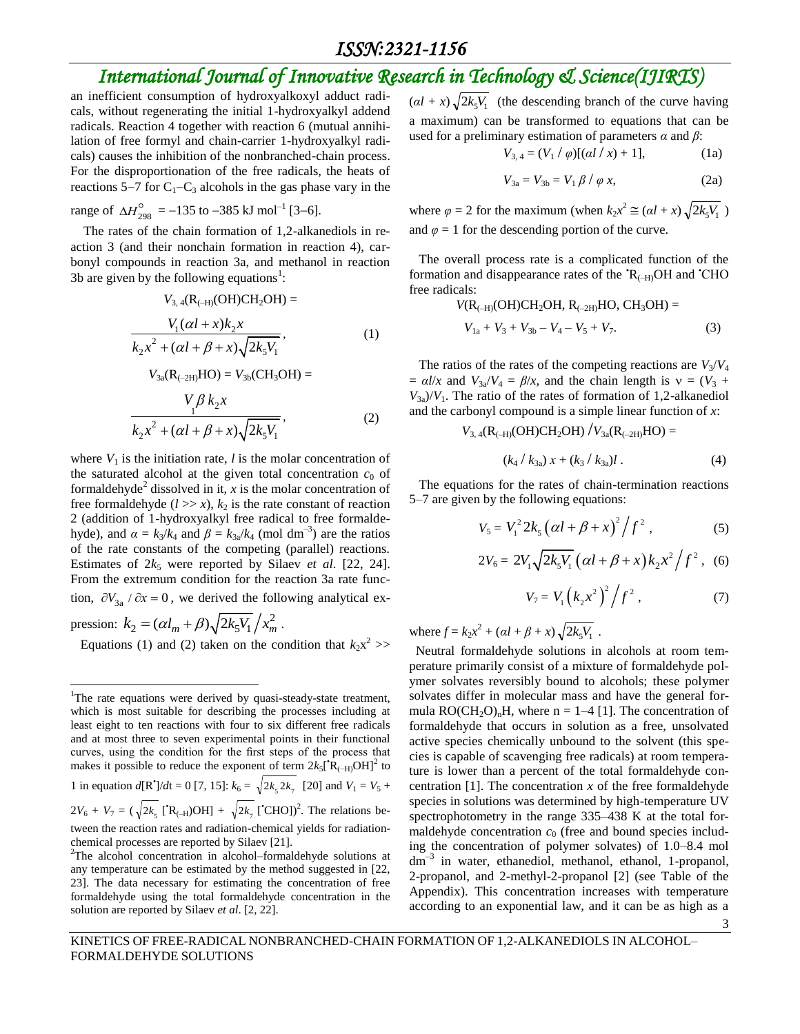#### *ISSN:2321-1156*

## *International Journal of Innovative Research in Technology & Science(IJIRTS)*

an inefficient consumption of hydroxyalkoxyl adduct radicals, without regenerating the initial 1-hydroxyalkyl addend radicals. Reaction 4 together with reaction 6 (mutual annihilation of free formyl and chain-carrier 1-hydroxyalkyl radicals) causes the inhibition of the nonbranched-chain process. For the disproportionation of the free radicals, the heats of reactions 5–7 for  $C_1-C_3$  alcohols in the gas phase vary in the

range of 
$$
\Delta H_{298}^{\circ}
$$
 = -135 to -385 kJ mol<sup>-1</sup> [3-6].

The rates of the chain formation of 1,2-alkanediols in reaction 3 (and their nonchain formation in reaction 4), carbonyl compounds in reaction 3a, and methanol in reaction 3b are given by the following equations<sup>1</sup>:

$$
V_{3,4}(\mathbf{R}_{(-H)}(\mathbf{OH})\mathbf{CH}_{2}\mathbf{OH}) =
$$
  
\n
$$
\frac{V_{1}(\alpha l + x)k_{2}x}{k_{2}x^{2} + (\alpha l + \beta + x)\sqrt{2k_{5}V_{1}}},
$$
  
\n
$$
V_{3a}(\mathbf{R}_{(-2H)}\mathbf{HO}) = V_{3b}(\mathbf{CH}_{3}\mathbf{OH}) =
$$
  
\n
$$
\frac{V_{1}\beta k_{2}x}{k_{2}x^{2} + (\alpha l + \beta + x)\sqrt{2k_{5}V_{1}}},
$$
  
\n(2)

where  $V_1$  is the initiation rate,  $l$  is the molar concentration of the saturated alcohol at the given total concentration  $c_0$  of formaldehyde<sup>2</sup> dissolved in it,  $x$  is the molar concentration of free formaldehyde  $(l \gg x)$ ,  $k_2$  is the rate constant of reaction 2 (addition of 1-hydroxyalkyl free radical to free formaldehyde), and  $\alpha = k_3/k_4$  and  $\beta = k_{3a}/k_4$  (mol dm<sup>-3</sup>) are the ratios of the rate constants of the competing (parallel) reactions. Estimates of  $2k_5$  were reported by Silaev *et al.* [22, 24]. From the extremum condition for the reaction 3a rate function,  $\partial V_{3a}$  /  $\partial x = 0$ , we derived the following analytical ex-

pression:  $k_2 = (\alpha l_m + \beta) \sqrt{2k_5 V_1} / x_m^2$ . Equations (1) and (2) taken on the condition that  $k_2x^2$  >>

 $\overline{a}$ 

 $\left(\alpha l + x\right) \sqrt{2k_s V_1}$  (the descending branch of the curve having a maximum) can be transformed to equations that can be used for a preliminary estimation of parameters *α* and *β*:

$$
V_{3,4} = (V_1 / \varphi)[(al / x) + 1], \tag{1a}
$$

$$
V_{3a} = V_{3b} = V_1 \beta / \varphi x, \qquad (2a)
$$

where  $\varphi = 2$  for the maximum (when  $k_2 x^2 \approx (\alpha l + x) \sqrt{2k_5 V_1}$ ) and  $\varphi = 1$  for the descending portion of the curve.

 The overall process rate is a complicated function of the formation and disappearance rates of the  $\mathcal{R}_{\text{(-H)}}\text{OH}$  and  $\mathcal{C}\text{HO}$ free radicals:

$$
V(R_{(-H)}(OH)CH_2OH, R_{(-2H)}HO, CH_3OH) = V_{1a} + V_3 + V_{3b} - V_4 - V_5 + V_7.
$$
 (3)

The ratios of the rates of the competing reactions are  $V_3/V_4$  $= \alpha l/x$  and  $V_{3a}/V_4 = \beta/x$ , and the chain length is  $v = (V_3 +$  $V_{3a}/V_1$ . The ratio of the rates of formation of 1,2-alkanediol and the carbonyl compound is a simple linear function of *x*:

$$
V_{3,4}(\text{R}_{(-H)}\text{(OH)}\text{CH}_2\text{OH}) / V_{3a}(\text{R}_{(-2H)}\text{HO}) =
$$
  

$$
(k_4 / k_{3a}) x + (k_3 / k_{3a}) l .
$$
 (4)

 The equations for the rates of chain-termination reactions 5–7 are given by the following equations:

$$
V_5 = V_1^2 2k_5 \left( \alpha l + \beta + x \right)^2 / f^2 , \qquad (5)
$$

$$
2V_6 = 2V_1 \sqrt{2k_s V_1} \left( \alpha l + \beta + x \right) k_2 x^2 / f^2 \,, \tag{6}
$$

$$
V_7 = V_1 (k_2 x^2)^2 / f^2 , \t\t(7)
$$

3

where  $f = k_2 x^2 + (aI + \beta + x) \sqrt{2k_5 V_1}$ .

Neutral formaldehyde solutions in alcohols at room temperature primarily consist of a mixture of formaldehyde polymer solvates reversibly bound to alcohols; these polymer solvates differ in molecular mass and have the general formula  $RO(CH_2O)<sub>n</sub>H$ , where n = 1–4 [1]. The concentration of formaldehyde that occurs in solution as a free, unsolvated active species chemically unbound to the solvent (this species is capable of scavenging free radicals) at room temperature is lower than a percent of the total formaldehyde concentration [1]. The concentration *x* of the free formaldehyde species in solutions was determined by high-temperature UV spectrophotometry in the range 335–438 K at the total formaldehyde concentration  $c_0$  (free and bound species including the concentration of polymer solvates) of 1.0–8.4 mol dm–3 in water, ethanediol, methanol, ethanol, 1-propanol, 2-propanol, and 2-methyl-2-propanol [2] (see Table of the Appendix). This concentration increases with temperature according to an exponential law, and it can be as high as a

KINETICS OF FREE-RADICAL NONBRANCHED-CHAIN FORMATION OF 1,2-ALKANEDIOLS IN ALCOHOL– FORMALDEHYDE SOLUTIONS

<sup>&</sup>lt;sup>1</sup>The rate equations were derived by quasi-steady-state treatment, which is most suitable for describing the processes including at least eight to ten reactions with four to six different free radicals and at most three to seven experimental points in their functional curves, using the condition for the first steps of the process that makes it possible to reduce the exponent of term  $2k_5[\hat{R}_{(-H)}OH]^2$  to 1 in equation  $d[\mathbf{R}^{\prime}]/dt = 0$  [7, 15]:  $k_6 = \sqrt{2k_5 2k_7}$  [20] and  $V_1 = V_5 +$  $2V_6 + V_7 = (\sqrt{2k_5} [\text{^tR}_{(-H)}\text{OH}] + \sqrt{2k_7} [\text{^tCHO}]^2$ . The relations between the reaction rates and radiation-chemical yields for radiationchemical processes are reported by Silaev [21].

<sup>&</sup>lt;sup>2</sup>The alcohol concentration in alcohol–formaldehyde solutions at any temperature can be estimated by the method suggested in [22, 23]. The data necessary for estimating the concentration of free formaldehyde using the total formaldehyde concentration in the solution are reported by Silaev *et al*. [2, 22].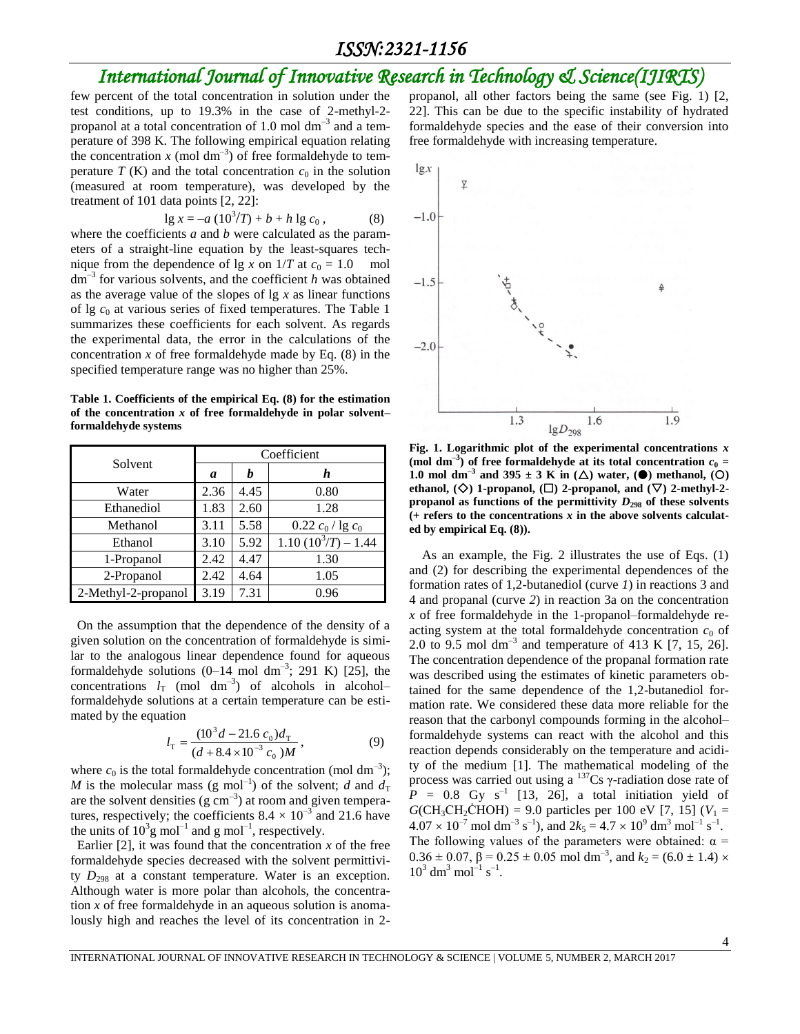few percent of the total concentration in solution under the test conditions, up to 19.3% in the case of 2-methyl-2 propanol at a total concentration of 1.0 mol  $dm^{-3}$  and a temperature of 398 K. The following empirical equation relating the concentration  $x \pmod{dm^{-3}}$  of free formaldehyde to temperature  $T(K)$  and the total concentration  $c_0$  in the solution (measured at room temperature), was developed by the treatment of 101 data points [2, 22]:

$$
\lg x = -a \left( 10^3 / T \right) + b + h \lg c_0 \,, \tag{8}
$$

where the coefficients *a* and *b* were calculated as the parameters of a straight-line equation by the least-squares technique from the dependence of lg *x* on  $1/T$  at  $c_0 = 1.0$  mol dm–3 for various solvents, and the coefficient *h* was obtained as the average value of the slopes of lg *x* as linear functions of lg *c*<sup>0</sup> at various series of fixed temperatures. The Table 1 summarizes these coefficients for each solvent. As regards the experimental data, the error in the calculations of the concentration  $x$  of free formaldehyde made by Eq.  $(8)$  in the specified temperature range was no higher than 25%.

**Table 1. Coefficients of the empirical Eq. (8) for the estimation of the concentration** *x* **of free formaldehyde in polar solvent– formaldehyde systems**

| Solvent             | Coefficient |      |                       |  |  |  |
|---------------------|-------------|------|-----------------------|--|--|--|
|                     | a           | h    | h                     |  |  |  |
| Water               | 2.36        | 4.45 | 0.80                  |  |  |  |
| Ethanediol          | 1.83        | 2.60 | 1.28                  |  |  |  |
| Methanol            | 3.11        | 5.58 | $0.22 c_0$ / lg $c_0$ |  |  |  |
| Ethanol             | 3.10        | 5.92 | $1.10(10^3/T) - 1.44$ |  |  |  |
| 1-Propanol          | 2.42        | 4.47 | 1.30                  |  |  |  |
| 2-Propanol          | 2.42        | 4.64 | 1.05                  |  |  |  |
| 2-Methyl-2-propanol | 3.19        | 7.31 | 0.96                  |  |  |  |

On the assumption that the dependence of the density of a given solution on the concentration of formaldehyde is similar to the analogous linear dependence found for aqueous formaldehyde solutions  $(0-14 \text{ mol dm}^{-3}$ ; 291 K) [25], the concentrations  $l_T$  (mol dm<sup>-3</sup>) of alcohols in alcohol– formaldehyde solutions at a certain temperature can be estimated by the equation

$$
l_{\rm T} = \frac{(10^3 d - 21.6 c_0) d_{\rm T}}{(d + 8.4 \times 10^{-3} c_0) M},
$$
\n(9)

where  $c_0$  is the total formaldehyde concentration (mol dm<sup>-3</sup>); *M* is the molecular mass (g mol<sup>-1</sup>) of the solvent; *d* and  $d_T$ are the solvent densities  $(g \text{ cm}^{-3})$  at room and given temperatures, respectively; the coefficients  $8.4 \times 10^{-3}$  and 21.6 have the units of  $10^3$ g mol<sup>-1</sup> and g mol<sup>-1</sup>, respectively.

Earlier  $[2]$ , it was found that the concentration  $x$  of the free formaldehyde species decreased with the solvent permittivity  $D_{298}$  at a constant temperature. Water is an exception. Although water is more polar than alcohols, the concentration *x* of free formaldehyde in an aqueous solution is anomalously high and reaches the level of its concentration in 2propanol, all other factors being the same (see Fig. 1) [2, 22]. This can be due to the specific instability of hydrated formaldehyde species and the ease of their conversion into free formaldehyde with increasing temperature.



**Fig. 1. Logarithmic plot of the experimental concentrations** *x* (mol dm<sup>-3</sup>) of free formaldehyde at its total concentration  $c_0$  = **1.0** mol dm<sup>-3</sup> and 395  $\pm$  3 K in ( $\Delta$ ) water, ( $\bullet$ ) methanol, ( $\odot$ ) ethanol,  $(\diamondsuit)$  1-propanol,  $(\square)$  2-propanol, and  $(\nabla)$  2-methyl-2propanol as functions of the permittivity  $D_{298}$  of these solvents **(+ refers to the concentrations** *x* **in the above solvents calculated by empirical Eq. (8)).**

As an example, the Fig. 2 illustrates the use of Eqs. (1) and (2) for describing the experimental dependences of the formation rates of 1,2-butanediol (curve *1*) in reactions 3 and 4 and propanal (curve *2*) in reaction 3a on the concentration *x* of free formaldehyde in the 1-propanol–formaldehyde reacting system at the total formaldehyde concentration  $c_0$  of 2.0 to 9.5 mol dm<sup>-3</sup> and temperature of 413 K [7, 15, 26]. The concentration dependence of the propanal formation rate was described using the estimates of kinetic parameters obtained for the same dependence of the 1,2-butanediol formation rate. We considered these data more reliable for the reason that the carbonyl compounds forming in the alcohol– formaldehyde systems can react with the alcohol and this reaction depends considerably on the temperature and acidity of the medium [1]. The mathematical modeling of the process was carried out using a  $137$ Cs γ-radiation dose rate of  $P = 0.8$  Gy s<sup>-1</sup> [13, 26], a total initiation yield of  $G(CH_3CH_2\text{CHOH}) = 9.0 \text{ particles per } 100 \text{ eV}$  [7, 15] ( $V_1 =$  $4.07 \times 10^{-7}$  mol dm<sup>-3</sup> s<sup>-1</sup>), and  $2k_5 = 4.7 \times 10^{9}$  dm<sup>3</sup> mol<sup>-1</sup> s<sup>-1</sup>. The following values of the parameters were obtained:  $\alpha$  =  $0.36 \pm 0.07$ ,  $\beta = 0.25 \pm 0.05$  mol dm<sup>-3</sup>, and  $k_2 = (6.0 \pm 1.4) \times$  $10^3$  dm<sup>3</sup> mol<sup>-1</sup> s<sup>-1</sup>.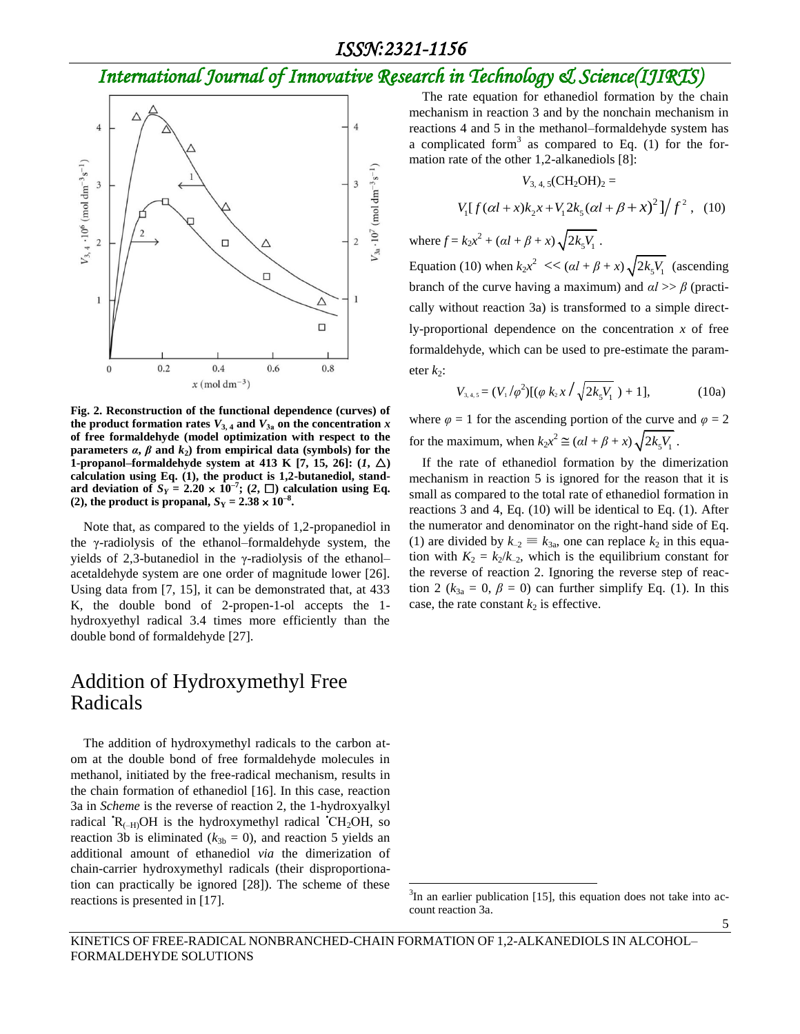

**Fig. 2. Reconstruction of the functional dependence (curves) of**  the product formation rates  $V_{3,4}$  and  $V_{3a}$  on the concentration  $x$ **of free formaldehyde (model optimization with respect to the parameters**  $\alpha$ **,**  $\beta$  **and**  $k_2$ **) from empirical data (symbols) for the** 1-propanol–formaldehyde system at 413 K [7, 15, 26]:  $(I, \triangle)$ **calculation using Eq. (1), the product is 1,2-butanediol, stand**ard deviation of  $S_Y = 2.20 \times 10^{-7}$ ; (2,  $\square$ ) calculation using Eq. **(2), the product is propanal,**  $S_Y = 2.38 \times 10^{-8}$ **.** 

Note that, as compared to the yields of 1,2-propanediol in the γ-radiolysis of the ethanol–formaldehyde system, the yields of 2,3-butanediol in the γ-radiolysis of the ethanol– acetaldehyde system are one order of magnitude lower [26]. Using data from [7, 15], it can be demonstrated that, at 433 K, the double bond of 2-propen-1-ol accepts the 1 hydroxyethyl radical 3.4 times more efficiently than the double bond of formaldehyde [27].

#### Addition of Hydroxymethyl Free Radicals

The addition of hydroxymethyl radicals to the carbon atom at the double bond of free formaldehyde molecules in methanol, initiated by the free-radical mechanism, results in the chain formation of ethanediol [16]. In this case, reaction 3a in *Scheme* is the reverse of reaction 2, the 1-hydroxyalkyl radical  $R_{(-H)}OH$  is the hydroxymethyl radical  $CH_2OH$ , so reaction 3b is eliminated ( $k_{3b} = 0$ ), and reaction 5 yields an additional amount of ethanediol *via* the dimerization of chain-carrier hydroxymethyl radicals (their disproportionation can practically be ignored [28]). The scheme of these reactions is presented in [17].

The rate equation for ethanediol formation by the chain mechanism in reaction 3 and by the nonchain mechanism in reactions 4 and 5 in the methanol–formaldehyde system has a complicated form<sup>3</sup> as compared to Eq.  $(1)$  for the formation rate of the other 1,2-alkanediols [8]:

$$
V_{3,4,5}(CH_2OH)_2 =
$$

$$
V_{3,4,5}(CH_2OH)_2 = V_1[f(\alpha l + x)k_2x + V_12k_5(\alpha l + \beta + x)^2]/f^2
$$
, (10)

where  $f = k_2 x^2 + (a l + \beta + x) \sqrt{2k_s V_1}$ .

Equation (10) when  $k_2x^2 \ll (a l + \beta + x) \sqrt{2k_5 V_1}$  (ascending branch of the curve having a maximum) and  $a \geq b$  (practically without reaction 3a) is transformed to a simple directly-proportional dependence on the concentration *x* of free formaldehyde, which can be used to pre-estimate the parameter  $k_2$ :

$$
V_{3,4,5} = (V_1/\varphi^2)[(\varphi k_2 x / \sqrt{2k_5 V_1}) + 1], \qquad (10a)
$$

where  $\varphi = 1$  for the ascending portion of the curve and  $\varphi = 2$ for the maximum, when  $k_2x^2 \cong (al + \beta + x)\sqrt{2k_5V_1}$ .

If the rate of ethanediol formation by the dimerization mechanism in reaction 5 is ignored for the reason that it is small as compared to the total rate of ethanediol formation in reactions 3 and 4, Eq. (10) will be identical to Eq. (1). After the numerator and denominator on the right-hand side of Eq. (1) are divided by  $k_{-2} \equiv k_{3a}$ , one can replace  $k_2$  in this equation with  $K_2 = k_2/k_{-2}$ , which is the equilibrium constant for the reverse of reaction 2. Ignoring the reverse step of reaction 2 ( $k_{3a} = 0$ ,  $\beta = 0$ ) can further simplify Eq. (1). In this case, the rate constant  $k_2$  is effective.

5

 $\overline{a}$ 

 $3$ In an earlier publication [15], this equation does not take into account reaction 3a.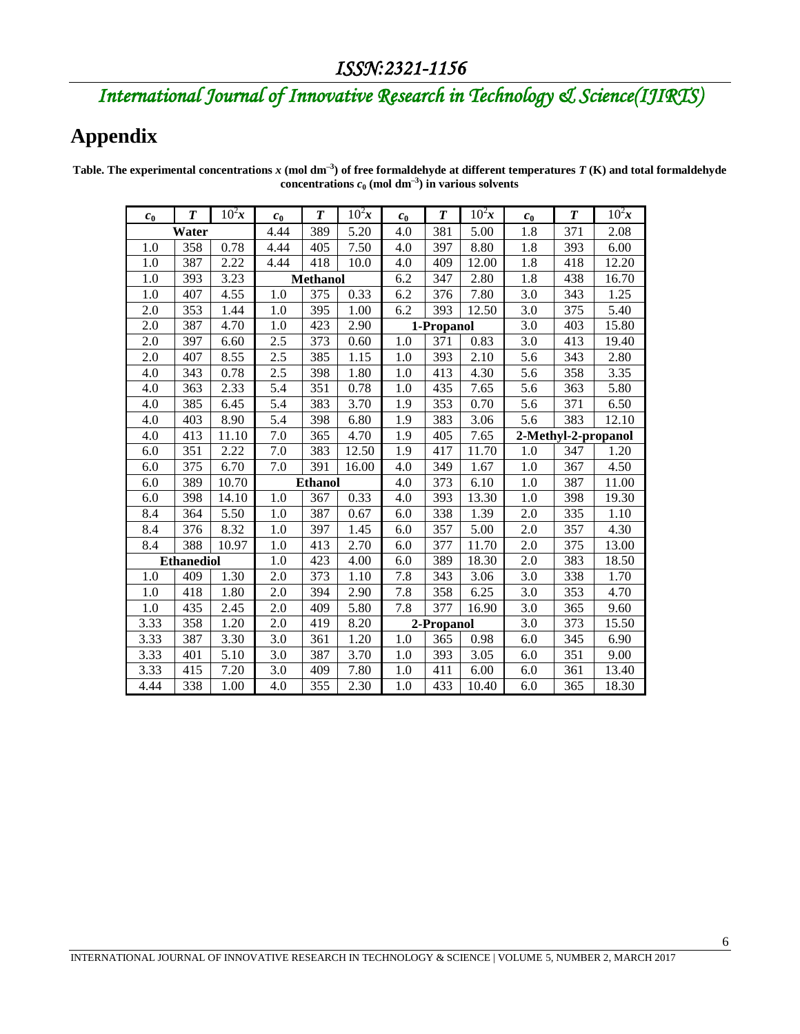# **Appendix**

r

| c <sub>0</sub>         | T   | $10^2x$         | $c_{0}$          | T    | $10^2x$ | $c_{0}$    | T    | $10^2x$ | $c_{0}$             | $\boldsymbol{T}$ | $10^2x$ |
|------------------------|-----|-----------------|------------------|------|---------|------------|------|---------|---------------------|------------------|---------|
| Water                  |     | 4.44            | 389              | 5.20 | 4.0     | 381        | 5.00 | 1.8     | 371                 | 2.08             |         |
| 1.0                    | 358 | 0.78            | 4.44             | 405  | 7.50    | 4.0        | 397  | 8.80    | 1.8                 | 393              | 6.00    |
| 1.0                    | 387 | 2.22            | 4.44             | 418  | 10.0    | 4.0        | 409  | 12.00   | 1.8                 | 418              | 12.20   |
| $1.0\,$<br>3.23<br>393 |     | <b>Methanol</b> |                  |      | 6.2     | 347        | 2.80 | 1.8     | 438                 | 16.70            |         |
| 1.0                    | 407 | 4.55            | 1.0              | 375  | 0.33    | 6.2        | 376  | 7.80    | 3.0                 | 343              | 1.25    |
| 2.0                    | 353 | 1.44            | 1.0              | 395  | 1.00    | 6.2        | 393  | 12.50   | 3.0                 | 375              | 5.40    |
| 2.0                    | 387 | 4.70            | 1.0              | 423  | 2.90    | 1-Propanol |      | 3.0     | 403                 | 15.80            |         |
| 2.0                    | 397 | 6.60            | $\overline{2.5}$ | 373  | 0.60    | 1.0        | 371  | 0.83    | 3.0                 | 413              | 19.40   |
| 2.0                    | 407 | 8.55            | 2.5              | 385  | 1.15    | 1.0        | 393  | 2.10    | 5.6                 | 343              | 2.80    |
| 4.0                    | 343 | 0.78            | 2.5              | 398  | 1.80    | 1.0        | 413  | 4.30    | 5.6                 | 358              | 3.35    |
| 4.0                    | 363 | 2.33            | 5.4              | 351  | 0.78    | 1.0        | 435  | 7.65    | 5.6                 | 363              | 5.80    |
| 4.0                    | 385 | 6.45            | 5.4              | 383  | 3.70    | 1.9        | 353  | 0.70    | 5.6                 | 371              | 6.50    |
| 4.0                    | 403 | 8.90            | 5.4              | 398  | 6.80    | 1.9        | 383  | 3.06    | 5.6                 | 383              | 12.10   |
| 4.0                    | 413 | 11.10           | 7.0              | 365  | 4.70    | 1.9        | 405  | 7.65    | 2-Methyl-2-propanol |                  |         |
| 6.0                    | 351 | 2.22            | 7.0              | 383  | 12.50   | 1.9        | 417  | 11.70   | 1.0                 | 347              | 1.20    |
| $6.0\,$                | 375 | 6.70            | 7.0              | 391  | 16.00   | 4.0        | 349  | 1.67    | 1.0                 | 367              | 4.50    |
| 6.0                    | 389 | 10.70           | <b>Ethanol</b>   |      |         | 4.0        | 373  | 6.10    | 1.0                 | 387              | 11.00   |
| 6.0                    | 398 | 14.10           | 1.0              | 367  | 0.33    | 4.0        | 393  | 13.30   | 1.0                 | 398              | 19.30   |
| 8.4                    | 364 | 5.50            | 1.0              | 387  | 0.67    | 6.0        | 338  | 1.39    | 2.0                 | 335              | 1.10    |
| 8.4                    | 376 | 8.32            | 1.0              | 397  | 1.45    | 6.0        | 357  | 5.00    | 2.0                 | 357              | 4.30    |
| 8.4                    | 388 | 10.97           | 1.0              | 413  | 2.70    | 6.0        | 377  | 11.70   | 2.0                 | 375              | 13.00   |
| <b>Ethanediol</b>      |     |                 | 1.0              | 423  | 4.00    | 6.0        | 389  | 18.30   | 2.0                 | 383              | 18.50   |
| 1.0                    | 409 | 1.30            | 2.0              | 373  | 1.10    | 7.8        | 343  | 3.06    | $\overline{3.0}$    | 338              | 1.70    |
| 1.0                    | 418 | 1.80            | 2.0              | 394  | 2.90    | 7.8        | 358  | 6.25    | 3.0                 | 353              | 4.70    |
| 1.0                    | 435 | 2.45            | 2.0              | 409  | 5.80    | 7.8        | 377  | 16.90   | 3.0                 | 365              | 9.60    |
| 3.33                   | 358 | 1.20            | 2.0              | 419  | 8.20    | 2-Propanol |      |         | 3.0                 | 373              | 15.50   |
| 3.33                   | 387 | 3.30            | 3.0              | 361  | 1.20    | 1.0        | 365  | 0.98    | 6.0                 | 345              | 6.90    |
| 3.33                   | 401 | 5.10            | $3.0\,$          | 387  | 3.70    | 1.0        | 393  | 3.05    | 6.0                 | 351              | 9.00    |
| 3.33                   | 415 | 7.20            | 3.0              | 409  | 7.80    | 1.0        | 411  | 6.00    | 6.0                 | 361              | 13.40   |
| 4.44                   | 338 | 1.00            | 4.0              | 355  | 2.30    | 1.0        | 433  | 10.40   | 6.0                 | 365              | 18.30   |

Table. The experimental concentrations  $x$  (mol dm<sup>-3</sup>) of free formaldehyde at different temperatures  $T$  (K) and total formaldehyde **concentrations**  $c_0$  (mol  $dm^{-3}$ ) in various solvents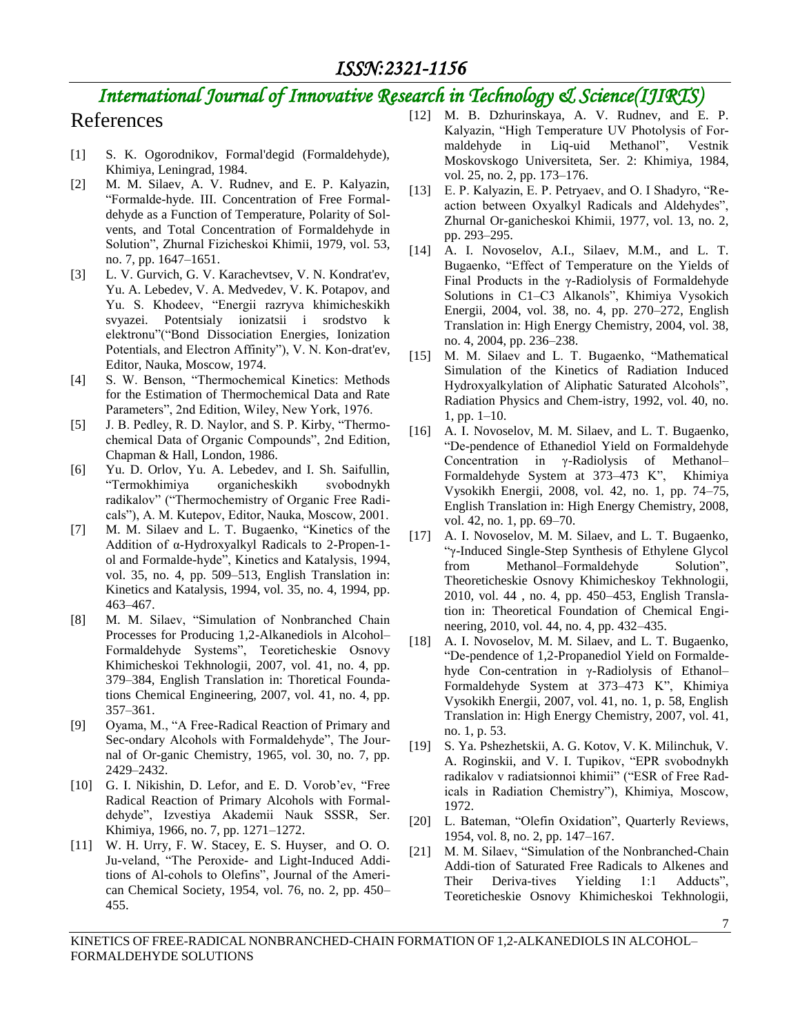#### *ISSN:2321-1156*

# *International Journal of Innovative Research in Technology & Science(IJIRTS)*

#### References

- [1] S. K. Ogorodnikov, Formal'degid (Formaldehyde), Khimiya, Leningrad, 1984.
- [2] M. M. Silaev, A. V. Rudnev, and E. P. Kalyazin, "Formalde-hyde. III. Concentration of Free Formaldehyde as a Function of Temperature, Polarity of Solvents, and Total Concentration of Formaldehyde in Solution", Zhurnal Fizicheskoi Khimii, 1979, vol. 53, no. 7, pp. 1647–1651.
- [3] L. V. Gurvich, G. V. Karachevtsev, V. N. Kondrat'ev, Yu. A. Lebedev, V. A. Medvedev, V. K. Potapov, and Yu. S. Khodeev, "Energii razryva khimicheskikh svyazei. Potentsialy ionizatsii i srodstvo k elektronu"("Bond Dissociation Energies, Ionization Potentials, and Electron Affinity"), V. N. Kon-drat'ev, Editor, Nauka, Moscow, 1974.
- [4] S. W. Benson, "Thermochemical Kinetics: Methods for the Estimation of Thermochemical Data and Rate Parameters", 2nd Edition, Wiley, New York, 1976.
- [5] J. B. Pedley, R. D. Naylor, and S. P. Kirby, "Thermochemical Data of Organic Compounds", 2nd Edition, Chapman & Hall, London, 1986.
- [6] Yu. D. Orlov, Yu. A. Lebedev, and I. Sh. Saifullin, "Termokhimiya organicheskikh svobodnykh radikalov" ("Thermochemistry of Organic Free Radicals"), A. M. Kutepov, Editor, Nauka, Moscow, 2001.
- [7] M. M. Silaev and L. T. Bugaenko, "Kinetics of the Addition of α-Hydroxyalkyl Radicals to 2-Propen-1 ol and Formalde-hyde", Kinetics and Katalysis, 1994, vol. 35, no. 4, pp. 509–513, English Translation in: Kinetics and Katalysis, 1994, vol. 35, no. 4, 1994, pp. 463–467.
- [8] M. M. Silaev, "Simulation of Nonbranched Chain Processes for Producing 1,2-Alkanediols in Alcohol– Formaldehyde Systems", Teoreticheskie Osnovy Khimicheskoi Tekhnologii, 2007, vol. 41, no. 4, pp. 379–384, English Translation in: Thoretical Foundations Chemical Engineering, 2007, vol. 41, no. 4, pp. 357–361.
- [9] Oyama, M., "A Free-Radical Reaction of Primary and Sec-ondary Alcohols with Formaldehyde", The Journal of Or-ganic Chemistry, 1965, vol. 30, no. 7, pp. 2429–2432.
- [10] G. I. Nikishin, D. Lefor, and E. D. Vorob'ev, "Free Radical Reaction of Primary Alcohols with Formaldehyde", Izvestiya Akademii Nauk SSSR, Ser. Khimiya, 1966, no. 7, pp. 1271–1272.
- [11] W. H. Urry, F. W. Stacey, E. S. Huyser, and O. O. Ju-veland, "The Peroxide- and Light-Induced Additions of Al-cohols to Olefins", Journal of the American Chemical Society, 1954, vol. 76, no. 2, pp. 450– 455.
- [12] M. B. Dzhurinskaya, A. V. Rudney, and E. P. Kalyazin, "High Temperature UV Photolysis of Formaldehyde in Liq-uid Methanol", Vestnik Moskovskogo Universiteta, Ser. 2: Khimiya, 1984, vol. 25, no. 2, pp. 173–176.
- [13] E. P. Kalyazin, E. P. Petryaev, and O. I Shadyro, "Reaction between Oxyalkyl Radicals and Aldehydes", Zhurnal Or-ganicheskoi Khimii, 1977, vol. 13, no. 2, pp. 293–295.
- [14] A. I. Novoselov, A.I., Silaev, M.M., and L. T. Bugaenko, "Effect of Temperature on the Yields of Final Products in the γ-Radiolysis of Formaldehyde Solutions in C1–C3 Alkanols", Khimiya Vysokich Energii, 2004, vol. 38, no. 4, pp. 270–272, English Translation in: High Energy Chemistry, 2004, vol. 38, no. 4, 2004, pp. 236–238.
- [15] M. M. Silaev and L. T. Bugaenko, "Mathematical Simulation of the Kinetics of Radiation Induced Hydroxyalkylation of Aliphatic Saturated Alcohols", Radiation Physics and Chem-istry, 1992, vol. 40, no. 1, pp. 1–10.
- [16] A. I. Novoselov, M. M. Silaev, and L. T. Bugaenko, "De-pendence of Ethanediol Yield on Formaldehyde Concentration in γ-Radiolysis of Methanol– Formaldehyde System at 373–473 K", Khimiya Vysokikh Energii, 2008, vol. 42, no. 1, pp. 74–75, English Translation in: High Energy Chemistry, 2008, vol. 42, no. 1, pp. 69–70.
- [17] A. I. Novoselov, M. M. Silaev, and L. T. Bugaenko, "γ-Induced Single-Step Synthesis of Ethylene Glycol from Methanol–Formaldehyde Solution", Theoreticheskie Osnovy Khimicheskoy Tekhnologii, 2010, vol. 44 , no. 4, pp. 450–453, English Translation in: Theoretical Foundation of Chemical Engineering, 2010, vol. 44, no. 4, pp. 432–435.
- [18] A. I. Novoselov, M. M. Silaev, and L. T. Bugaenko, "De-pendence of 1,2-Propanediol Yield on Formaldehyde Con-centration in γ-Radiolysis of Ethanol– Formaldehyde System at 373–473 K", Khimiya Vysokikh Energii, 2007, vol. 41, no. 1, p. 58, English Translation in: High Energy Chemistry, 2007, vol. 41, no. 1, p. 53.
- [19] S. Ya. Pshezhetskii, A. G. Kotov, V. K. Milinchuk, V. A. Roginskii, and V. I. Tupikov, "EPR svobodnykh radikalov v radiatsionnoi khimii" ("ESR of Free Radicals in Radiation Chemistry"), Khimiya, Moscow, 1972.
- [20] L. Bateman, "Olefin Oxidation", Quarterly Reviews, 1954, vol. 8, no. 2, pp. 147–167.
- [21] M. M. Silaev, "Simulation of the Nonbranched-Chain Addi-tion of Saturated Free Radicals to Alkenes and Their Deriva-tives Yielding 1:1 Adducts", Teoreticheskie Osnovy Khimicheskoi Tekhnologii,